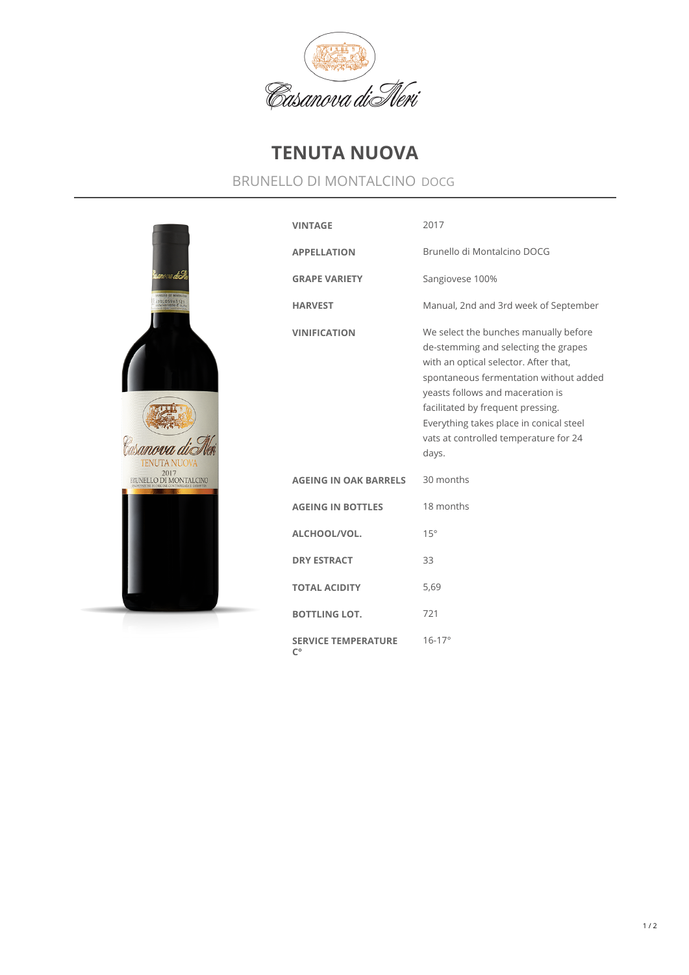

## **TENUTA NUOVA**

## BRUNELLO DI MONTALCINO DOCG



| <b>VINTAGE</b>                                   | 2017                                                                                                                                                                                                                                                                                                                                   |
|--------------------------------------------------|----------------------------------------------------------------------------------------------------------------------------------------------------------------------------------------------------------------------------------------------------------------------------------------------------------------------------------------|
| <b>APPELLATION</b>                               | Brunello di Montalcino DOCG                                                                                                                                                                                                                                                                                                            |
| <b>GRAPE VARIETY</b>                             | Sangiovese 100%                                                                                                                                                                                                                                                                                                                        |
| <b>HARVEST</b>                                   | Manual, 2nd and 3rd week of September                                                                                                                                                                                                                                                                                                  |
| <b>VINIFICATION</b>                              | We select the bunches manually before<br>de-stemming and selecting the grapes<br>with an optical selector. After that,<br>spontaneous fermentation without added<br>yeasts follows and maceration is<br>facilitated by frequent pressing.<br>Everything takes place in conical steel<br>vats at controlled temperature for 24<br>days. |
| <b>AGEING IN OAK BARRELS</b>                     | 30 months                                                                                                                                                                                                                                                                                                                              |
| <b>AGEING IN BOTTLES</b>                         | 18 months                                                                                                                                                                                                                                                                                                                              |
| ALCHOOL/VOL.                                     | 15°                                                                                                                                                                                                                                                                                                                                    |
| <b>DRY ESTRACT</b>                               | 33                                                                                                                                                                                                                                                                                                                                     |
| <b>TOTAL ACIDITY</b>                             | 5,69                                                                                                                                                                                                                                                                                                                                   |
| <b>BOTTLING LOT.</b>                             | 721                                                                                                                                                                                                                                                                                                                                    |
| <b>SERVICE TEMPERATURE</b><br>$\mathsf{C}^\circ$ | $16 - 17$ °                                                                                                                                                                                                                                                                                                                            |